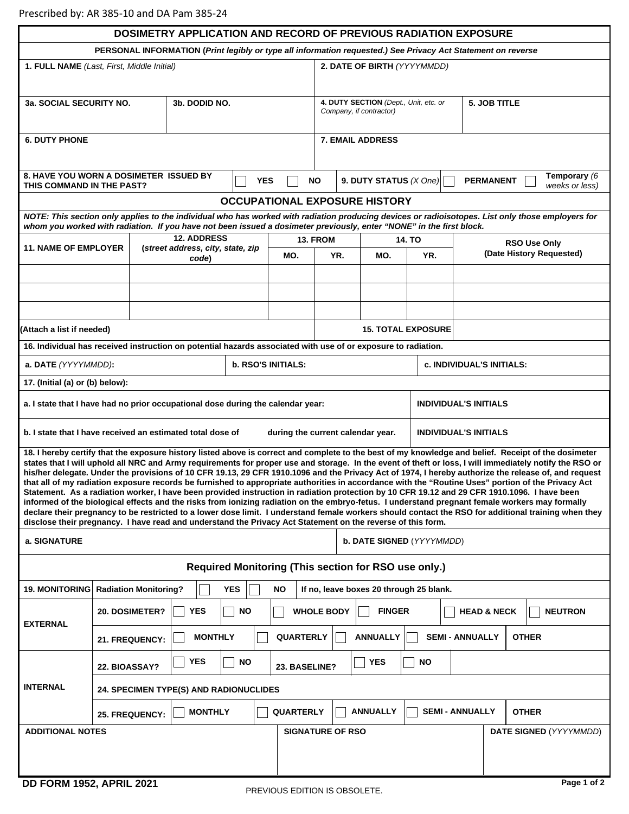| <b>DOSIMETRY APPLICATION AND RECORD OF PREVIOUS RADIATION EXPOSURE</b>                                                                                                                                                                                                                                                                                                                                                                                                                                                                                                                                                                                                                                                                                                                                                                                                                                                                                                                                                                                                                                                                                                                                  |                                                           |       |                |     |                  |                                                                                             |                                  |                     |                          |                |  |
|---------------------------------------------------------------------------------------------------------------------------------------------------------------------------------------------------------------------------------------------------------------------------------------------------------------------------------------------------------------------------------------------------------------------------------------------------------------------------------------------------------------------------------------------------------------------------------------------------------------------------------------------------------------------------------------------------------------------------------------------------------------------------------------------------------------------------------------------------------------------------------------------------------------------------------------------------------------------------------------------------------------------------------------------------------------------------------------------------------------------------------------------------------------------------------------------------------|-----------------------------------------------------------|-------|----------------|-----|------------------|---------------------------------------------------------------------------------------------|----------------------------------|---------------------|--------------------------|----------------|--|
| PERSONAL INFORMATION (Print legibly or type all information requested.) See Privacy Act Statement on reverse                                                                                                                                                                                                                                                                                                                                                                                                                                                                                                                                                                                                                                                                                                                                                                                                                                                                                                                                                                                                                                                                                            |                                                           |       |                |     |                  |                                                                                             |                                  |                     |                          |                |  |
| 1. FULL NAME (Last, First, Middle Initial)<br>2. DATE OF BIRTH (YYYYMMDD)                                                                                                                                                                                                                                                                                                                                                                                                                                                                                                                                                                                                                                                                                                                                                                                                                                                                                                                                                                                                                                                                                                                               |                                                           |       |                |     |                  |                                                                                             |                                  |                     |                          |                |  |
| 3b. DODID NO.<br><b>3a. SOCIAL SECURITY NO.</b>                                                                                                                                                                                                                                                                                                                                                                                                                                                                                                                                                                                                                                                                                                                                                                                                                                                                                                                                                                                                                                                                                                                                                         |                                                           |       |                |     |                  | 4. DUTY SECTION (Dept., Unit, etc. or<br>5. JOB TITLE<br>Company, if contractor)            |                                  |                     |                          |                |  |
| <b>6. DUTY PHONE</b>                                                                                                                                                                                                                                                                                                                                                                                                                                                                                                                                                                                                                                                                                                                                                                                                                                                                                                                                                                                                                                                                                                                                                                                    |                                                           |       |                |     |                  | <b>7. EMAIL ADDRESS</b>                                                                     |                                  |                     |                          |                |  |
| <b>8. HAVE YOU WORN A DOSIMETER ISSUED BY</b><br><b>YES</b><br>THIS COMMAND IN THE PAST?                                                                                                                                                                                                                                                                                                                                                                                                                                                                                                                                                                                                                                                                                                                                                                                                                                                                                                                                                                                                                                                                                                                |                                                           |       |                |     |                  | Temporary (6<br><b>NO</b><br>9. DUTY STATUS $(X One)$<br><b>PERMANENT</b><br>weeks or less) |                                  |                     |                          |                |  |
| <b>OCCUPATIONAL EXPOSURE HISTORY</b>                                                                                                                                                                                                                                                                                                                                                                                                                                                                                                                                                                                                                                                                                                                                                                                                                                                                                                                                                                                                                                                                                                                                                                    |                                                           |       |                |     |                  |                                                                                             |                                  |                     |                          |                |  |
| NOTE: This section only applies to the individual who has worked with radiation producing devices or radioisotopes. List only those employers for<br>whom you worked with radiation. If you have not been issued a dosimeter previously, enter "NONE" in the first block.                                                                                                                                                                                                                                                                                                                                                                                                                                                                                                                                                                                                                                                                                                                                                                                                                                                                                                                               |                                                           |       |                |     |                  |                                                                                             |                                  |                     |                          |                |  |
| <b>11. NAME OF EMPLOYER</b>                                                                                                                                                                                                                                                                                                                                                                                                                                                                                                                                                                                                                                                                                                                                                                                                                                                                                                                                                                                                                                                                                                                                                                             | <b>12. ADDRESS</b><br>(street address, city, state, zip   |       |                |     | 13. FROM         | <b>14. TO</b>                                                                               |                                  | <b>RSO Use Only</b> |                          |                |  |
|                                                                                                                                                                                                                                                                                                                                                                                                                                                                                                                                                                                                                                                                                                                                                                                                                                                                                                                                                                                                                                                                                                                                                                                                         |                                                           | code) |                |     | MO.              | YR.                                                                                         | MO.                              | YR.                 | (Date History Requested) |                |  |
|                                                                                                                                                                                                                                                                                                                                                                                                                                                                                                                                                                                                                                                                                                                                                                                                                                                                                                                                                                                                                                                                                                                                                                                                         |                                                           |       |                |     |                  |                                                                                             |                                  |                     |                          |                |  |
|                                                                                                                                                                                                                                                                                                                                                                                                                                                                                                                                                                                                                                                                                                                                                                                                                                                                                                                                                                                                                                                                                                                                                                                                         |                                                           |       |                |     |                  |                                                                                             |                                  |                     |                          |                |  |
| (Attach a list if needed)                                                                                                                                                                                                                                                                                                                                                                                                                                                                                                                                                                                                                                                                                                                                                                                                                                                                                                                                                                                                                                                                                                                                                                               |                                                           |       |                |     |                  |                                                                                             | <b>15. TOTAL EXPOSURE</b>        |                     |                          |                |  |
| 16. Individual has received instruction on potential hazards associated with use of or exposure to radiation.                                                                                                                                                                                                                                                                                                                                                                                                                                                                                                                                                                                                                                                                                                                                                                                                                                                                                                                                                                                                                                                                                           |                                                           |       |                |     |                  |                                                                                             |                                  |                     |                          |                |  |
| <b>b. RSO'S INITIALS:</b><br>a. DATE (YYYYMMDD):                                                                                                                                                                                                                                                                                                                                                                                                                                                                                                                                                                                                                                                                                                                                                                                                                                                                                                                                                                                                                                                                                                                                                        |                                                           |       |                |     |                  |                                                                                             | <b>c. INDIVIDUAL'S INITIALS:</b> |                     |                          |                |  |
| 17. (Initial (a) or (b) below):                                                                                                                                                                                                                                                                                                                                                                                                                                                                                                                                                                                                                                                                                                                                                                                                                                                                                                                                                                                                                                                                                                                                                                         |                                                           |       |                |     |                  |                                                                                             |                                  |                     |                          |                |  |
| a. I state that I have had no prior occupational dose during the calendar year:                                                                                                                                                                                                                                                                                                                                                                                                                                                                                                                                                                                                                                                                                                                                                                                                                                                                                                                                                                                                                                                                                                                         |                                                           |       |                |     |                  |                                                                                             | <b>INDIVIDUAL'S INITIALS</b>     |                     |                          |                |  |
| b. I state that I have received an estimated total dose of<br><b>INDIVIDUAL'S INITIALS</b><br>during the current calendar year.                                                                                                                                                                                                                                                                                                                                                                                                                                                                                                                                                                                                                                                                                                                                                                                                                                                                                                                                                                                                                                                                         |                                                           |       |                |     |                  |                                                                                             |                                  |                     |                          |                |  |
| 18. I hereby certify that the exposure history listed above is correct and complete to the best of my knowledge and belief. Receipt of the dosimeter<br>states that I will uphold all NRC and Army requirements for proper use and storage. In the event of theft or loss, I will immediately notify the RSO or<br>his/her delegate. Under the provisions of 10 CFR 19.13, 29 CFR 1910.1096 and the Privacy Act of 1974, I hereby authorize the release of, and request<br>that all of my radiation exposure records be furnished to appropriate authorities in accordance with the "Routine Uses" portion of the Privacy Act<br>Statement. As a radiation worker, I have been provided instruction in radiation protection by 10 CFR 19.12 and 29 CFR 1910.1096. I have been<br>informed of the biological effects and the risks from ionizing radiation on the embryo-fetus. I understand pregnant female workers may formally<br>declare their pregnancy to be restricted to a lower dose limit. I understand female workers should contact the RSO for additional training when they<br>disclose their pregnancy. I have read and understand the Privacy Act Statement on the reverse of this form. |                                                           |       |                |     |                  |                                                                                             |                                  |                     |                          |                |  |
| a. SIGNATURE                                                                                                                                                                                                                                                                                                                                                                                                                                                                                                                                                                                                                                                                                                                                                                                                                                                                                                                                                                                                                                                                                                                                                                                            |                                                           |       |                |     |                  |                                                                                             | b. DATE SIGNED (YYYYMMDD)        |                     |                          |                |  |
| Required Monitoring (This section for RSO use only.)                                                                                                                                                                                                                                                                                                                                                                                                                                                                                                                                                                                                                                                                                                                                                                                                                                                                                                                                                                                                                                                                                                                                                    |                                                           |       |                |     |                  |                                                                                             |                                  |                     |                          |                |  |
| 19. MONITORING   Radiation Monitoring?<br><b>YES</b><br>If no, leave boxes 20 through 25 blank.<br>NO                                                                                                                                                                                                                                                                                                                                                                                                                                                                                                                                                                                                                                                                                                                                                                                                                                                                                                                                                                                                                                                                                                   |                                                           |       |                |     |                  |                                                                                             |                                  |                     |                          |                |  |
| <b>EXTERNAL</b>                                                                                                                                                                                                                                                                                                                                                                                                                                                                                                                                                                                                                                                                                                                                                                                                                                                                                                                                                                                                                                                                                                                                                                                         | 20. DOSIMETER?                                            |       | <b>YES</b>     | NO. |                  | <b>WHOLE BODY</b>                                                                           | <b>FINGER</b>                    |                     | <b>HEAD &amp; NECK</b>   | <b>NEUTRON</b> |  |
|                                                                                                                                                                                                                                                                                                                                                                                                                                                                                                                                                                                                                                                                                                                                                                                                                                                                                                                                                                                                                                                                                                                                                                                                         | 21. FREQUENCY:                                            |       | <b>MONTHLY</b> |     | <b>QUARTERLY</b> |                                                                                             | <b>ANNUALLY</b>                  |                     | <b>SEMI - ANNUALLY</b>   | <b>OTHER</b>   |  |
| <b>INTERNAL</b>                                                                                                                                                                                                                                                                                                                                                                                                                                                                                                                                                                                                                                                                                                                                                                                                                                                                                                                                                                                                                                                                                                                                                                                         | <b>YES</b><br><b>NO</b><br>22. BIOASSAY?<br>23. BASELINE? |       |                |     |                  |                                                                                             | <b>NO</b><br><b>YES</b>          |                     |                          |                |  |
|                                                                                                                                                                                                                                                                                                                                                                                                                                                                                                                                                                                                                                                                                                                                                                                                                                                                                                                                                                                                                                                                                                                                                                                                         | <b>24. SPECIMEN TYPE(S) AND RADIONUCLIDES</b>             |       |                |     |                  |                                                                                             |                                  |                     |                          |                |  |
|                                                                                                                                                                                                                                                                                                                                                                                                                                                                                                                                                                                                                                                                                                                                                                                                                                                                                                                                                                                                                                                                                                                                                                                                         | <b>MONTHLY</b><br><b>QUARTERLY</b><br>25. FREQUENCY:      |       |                |     |                  | <b>ANNUALLY</b><br><b>SEMI - ANNUALLY</b>                                                   |                                  |                     |                          | <b>OTHER</b>   |  |
| <b>ADDITIONAL NOTES</b><br><b>SIGNATURE OF RSO</b><br>DATE SIGNED (YYYYMMDD)                                                                                                                                                                                                                                                                                                                                                                                                                                                                                                                                                                                                                                                                                                                                                                                                                                                                                                                                                                                                                                                                                                                            |                                                           |       |                |     |                  |                                                                                             |                                  |                     |                          |                |  |